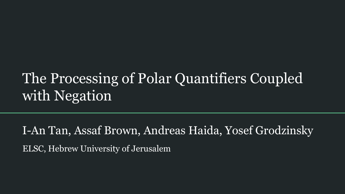# The Processing of Polar Quantifiers Coupled with Negation

I-An Tan, Assaf Brown, Andreas Haida, Yosef Grodzinsky ELSC, Hebrew University of Jerusalem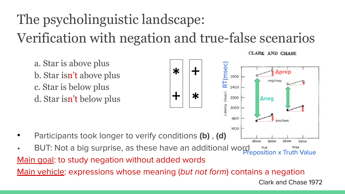# The psycholinguistic landscape: Verification with negation and true-false scenarios

a. Star is above plus b. Star isn't above plus c. Star is below plus d. Star isn't below plus



**CLARK AND CHASE** 

negatives

**Δprep**

**Δneg**

abow

RT(msec)

 $(msec)$ 

atency

2600

2200

2000

1800

1600

- Participants took longer to verify conditions **(b)** , **(d)**
- BUT: Not a big surprise, as these have an additional word Main goal: to study negation without added words

Main vehicle: expressions whose meaning (but not form) contains a negation

Clark and Chase 1972

below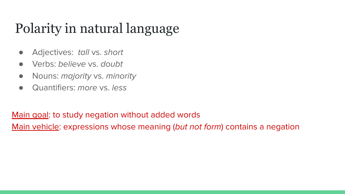# Polarity in natural language

- Adjectives: tall vs. short
- Verbs: believe vs. doubt
- Nouns: majority vs. minority
- Quantifiers: *more* vs. *less*

Main goal: to study negation without added words Main vehicle: expressions whose meaning (but not form) contains a negation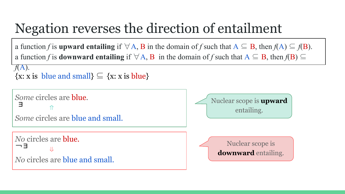## Negation reverses the direction of entailment

a function *f* is **upward entailing** if  $\forall A$ , B in the domain of *f* such that  $A \subseteq B$ , then  $f(A) \subseteq f(B)$ . a function *f* is **downward entailing** if  $\forall A, B$  in the domain of *f* such that  $A \subseteq B$ , then  $f(B) \subseteq B$ 

 $\{x: x \text{ is blue and small}\}\subseteq \{x: x \text{ is blue}\}\$ *f*(A).

```
Some circles are blue.
           ⇑
Some circles are blue and small.
\overline{a}No circles are blue.
           ⇓
No circles are blue and small.
 ∃
¬∃
                                                                Nuclear scope is upward
                                                                        entailing.
                                                                      Nuclear scope is 
                                                                   downward entailing.
```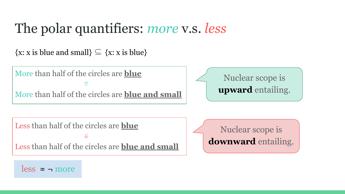#### The polar quantifiers: *more* v.s. *less*

 $\{x: x \text{ is blue and small}\}\subseteq \{x: x \text{ is blue}\}\$ 

More than half of the circles are **blue** ⇑ More than half of the circles are **blue and small**  $\overline{a}$ Less than half of the circles are **blue** ⇓ Less than half of the circles are **blue and small** Nuclear scope is **upward** entailing. Nuclear scope is **downward** entailing.

less  $\approx$  – more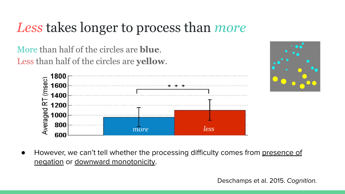#### *Less* takes longer to process than *more*

 More than half of the circles are **blue**. Less than half of the circles are **yellow**.





However, we can't tell whether the processing difficulty comes from presence of negation or downward monotonicity.

Deschamps et al. 2015. Cognition.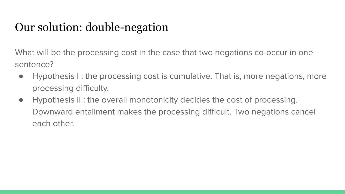#### Our solution: double-negation

What will be the processing cost in the case that two negations co-occur in one sentence?

- Hypothesis I : the processing cost is cumulative. That is, more negations, more processing difficulty.
- Hypothesis II : the overall monotonicity decides the cost of processing. Downward entailment makes the processing difficult. Two negations cancel each other.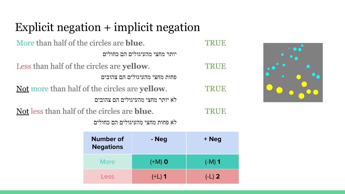#### Explicit negation + implicit negation

| More than half of the circles are <b>blue</b> .       | <b>TRUE</b> |
|-------------------------------------------------------|-------------|
| יותר מחצי מהעיגולים הם כחולים                         |             |
| Less than half of the circles are yellow.             | TRUE        |
| פחות מחצי מהעיגולים הם צהובים                         |             |
| Not more than half of the circles are <b>yellow</b> . | TRUE        |
| לא יותר מחצי מהעיגולים הם צהובים                      |             |
| Not less than half of the circles are <b>blue</b> .   |             |

לא פחות מחצי מהעיגולים הם כחולים

| <b>Number of</b><br><b>Negations</b> | - Neg    | + Neg    |
|--------------------------------------|----------|----------|
| More                                 | $(+M)$ O | $(-M)$ 1 |
| Less                                 | $(+L)$ 1 | $(-L)$ 2 |

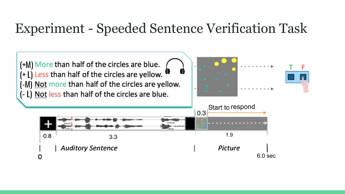#### Experiment - Speeded Sentence Verification Task

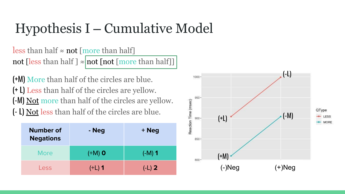# $Hypothesis I - Cumulative Model$

less than half  $\approx$  not [more than half] not [less than half ]  $\approx$  not [not [more than half]]

(+M) More than half of the circles are blue. (+ L) Less than half of the circles are yellow. (-M) Not more than half of the circles are yellow. (- L) Not less than half of the circles are blue.

| <b>Number of</b><br><b>Negations</b> | - Neg    | + Neg    |
|--------------------------------------|----------|----------|
| More                                 | $(+M)$ O | $(-M)$ 1 |
| Less                                 | $(+L)$ 1 | $(-L)$ 2 |

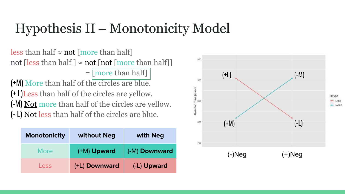# Hypothesis II – Monotonicity Model

less than half  $\approx$  not [more than half] not [less than half ]  $\approx$  not [not [more than half]]  $=$  [more than half] (+M) More than half of the circles are blue. (+ L)Less than half of the circles are yellow. (-M) Not more than half of the circles are yellow. (- L) Not less than half of the circles are blue.

| <b>Monotonicity</b> | without Neg   | with Neg      |
|---------------------|---------------|---------------|
| More                | (+M) Upward   | (-M) Downward |
| Less                | (+L) Downward | (-L) Upward   |

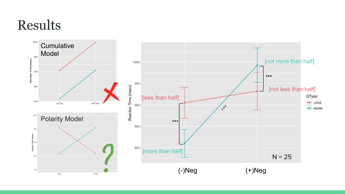#### Results

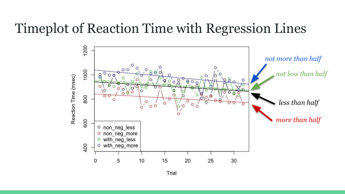#### Timeplot of Reaction Time with Regression Lines



Trial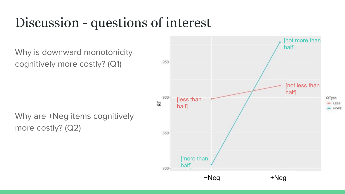## Discussion - questions of interest

Why is downward monotonicity cognitively more costly? (Q1)

Why are +Neg items cognitively more costly? (Q2)

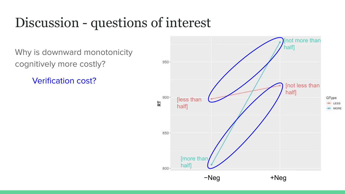### Discussion - questions of interest

Why is downward monotonicity cognitively more costly?

Verification cost?

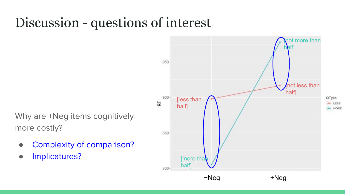### Discussion - questions of interest

Why are +Neg items cognitively more costly?

- Complexity of comparison?
- Implicatures?

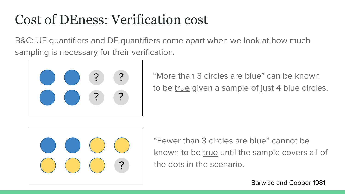### Cost of DEness: Verification cost

B&C: UE quantifiers and DE quantifiers come apart when we look at how much sampling is necessary for their verification.



"More than 3 circles are blue" can be known to be true given a sample of just 4 blue circles.



"Fewer than 3 circles are blue" cannot be known to be true until the sample covers all of the dots in the scenario.

Barwise and Cooper 1981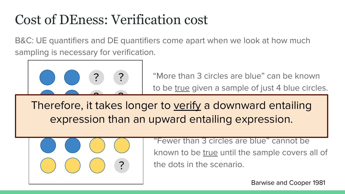# Cost of DEness: Verification cost

B&C: UE quantifiers and DE quantifiers come apart when we look at how much sampling is necessary for verification.



"More than 3 circles are blue" can be known to be true given a sample of just 4 blue circles.

Therefore, it takes longer to verify a downward entailing expression than an upward entailing expression.



"Fewer than 3 circles are blue" cannot be known to be true until the sample covers all of the dots in the scenario.

Barwise and Cooper 1981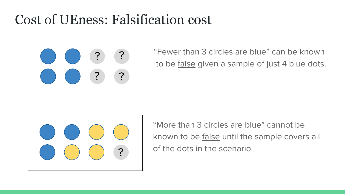#### Cost of UEness: Falsification cost



"Fewer than 3 circles are blue" can be known to be <u>false</u> given a sample of just 4 blue dots.



"More than 3 circles are blue" cannot be known to be false until the sample covers all of the dots in the scenario.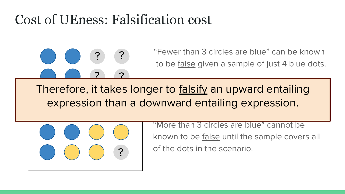#### Cost of UEness: Falsification cost



"Fewer than 3 circles are blue" can be known to be false given a sample of just 4 blue dots.

Therefore, it takes longer to <u>falsify</u> an upward entailing expression than a downward entailing expression.



"More than 3 circles are blue" cannot be known to be false until the sample covers all of the dots in the scenario. ?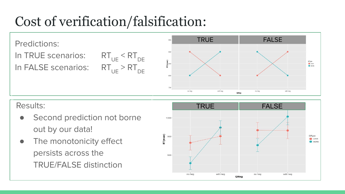# Cost of verification/falsification:

Predictions: In TRUE scenarios:  $RT_{UE} < RT_{DE}$ In FALSE scenarios:  $RT_{UE} > RT_{DE}$ 



- Second prediction not borne out by our data!
- The monotonicity effect persists across the TRUE/FALSE distinction

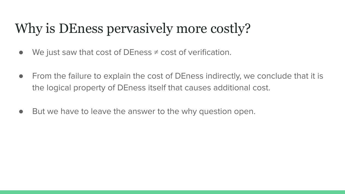# Why is DEness pervasively more costly?

- We just saw that cost of DEness  $\neq$  cost of verification.
- From the failure to explain the cost of DEness indirectly, we conclude that it is the logical property of DEness itself that causes additional cost.
- But we have to leave the answer to the why question open.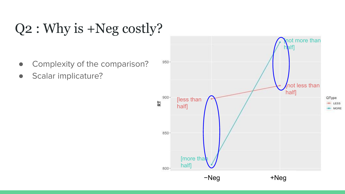# Q2 : Why is +Neg costly?

- Complexity of the comparison?
- Scalar implicature?

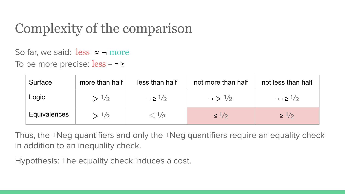# Complexity of the comparison

So far, we said:  $\text{less}$   $\approx$   $\rightarrow$  more

To be more precise:  $less = -2$ 

| Surface      | more than half | less than half        | not more than half   | not less than half   |
|--------------|----------------|-----------------------|----------------------|----------------------|
| Logic        | >1/2           | $\neg \geq 1/2$       | $\sim$ $\frac{1}{2}$ | $\neg \neg \geq 1/2$ |
| Equivalences | >1/2           | $\langle 1/2 \rangle$ | $\leq 1/2$           | $\geq 1/2$           |

Thus, the +Neg quantifiers and only the +Neg quantifiers require an equality check in addition to an inequality check.

Hypothesis: The equality check induces a cost.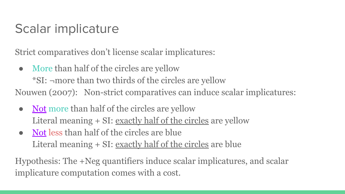#### Scalar implicature

Strict comparatives don't license scalar implicatures:

- More than half of the circles are yellow \*SI: ¬more than two thirds of the circles are yellow Nouwen (2007): Non-strict comparatives can induce scalar implicatures:
	- Not more than half of the circles are yellow Literal meaning + SI: <u>exactly half of the circles</u> are yellow
	- Not less than half of the circles are blue Literal meaning + SI: exactly half of the circles are blue

Hypothesis: The +Neg quantifiers induce scalar implicatures, and scalar implicature computation comes with a cost.